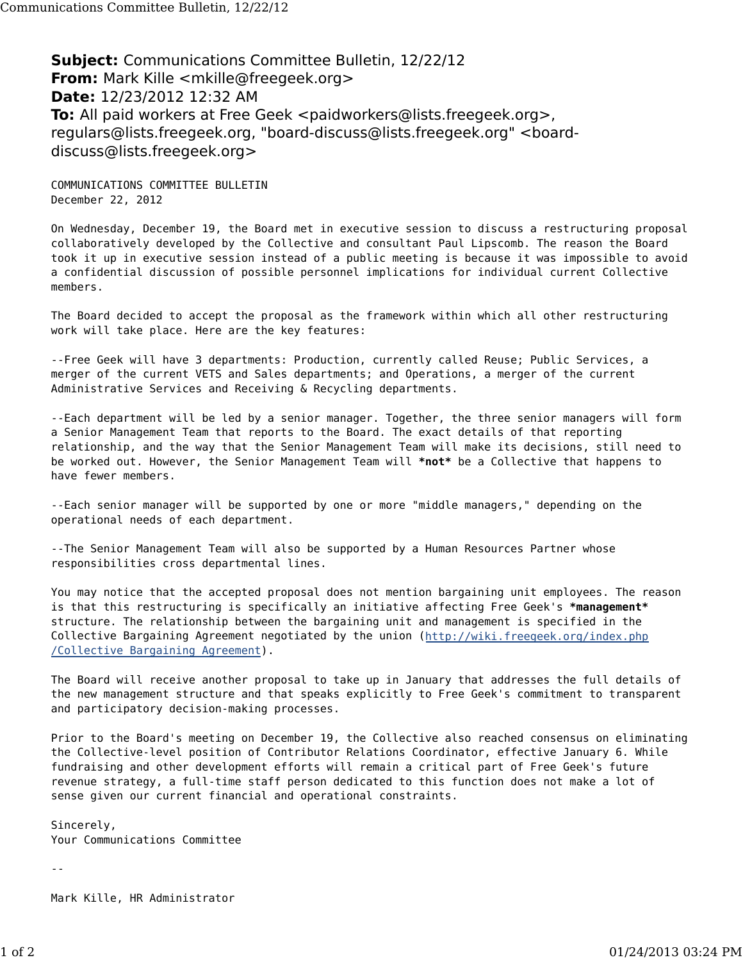**Subject:** Communications Committee Bulletin, 12/22/12 **From:** Mark Kille <mkille@freegeek.org> **Date:** 12/23/2012 12:32 AM **To:** All paid workers at Free Geek <paidworkers@lists.freegeek.org>, regulars@lists.freegeek.org, "board-discuss@lists.freegeek.org" <boarddiscuss@lists.freegeek.org>

COMMUNICATIONS COMMITTEE BULLETIN December 22, 2012

On Wednesday, December 19, the Board met in executive session to discuss a restructuring proposal collaboratively developed by the Collective and consultant Paul Lipscomb. The reason the Board took it up in executive session instead of a public meeting is because it was impossible to avoid a confidential discussion of possible personnel implications for individual current Collective members.

The Board decided to accept the proposal as the framework within which all other restructuring work will take place. Here are the key features:

--Free Geek will have 3 departments: Production, currently called Reuse; Public Services, a merger of the current VETS and Sales departments; and Operations, a merger of the current Administrative Services and Receiving & Recycling departments.

--Each department will be led by a senior manager. Together, the three senior managers will form a Senior Management Team that reports to the Board. The exact details of that reporting relationship, and the way that the Senior Management Team will make its decisions, still need to be worked out. However, the Senior Management Team will **\*not\*** be a Collective that happens to have fewer members.

--Each senior manager will be supported by one or more "middle managers," depending on the operational needs of each department.

--The Senior Management Team will also be supported by a Human Resources Partner whose responsibilities cross departmental lines.

You may notice that the accepted proposal does not mention bargaining unit employees. The reason is that this restructuring is specifically an initiative affecting Free Geek's **\*management\*** structure. The relationship between the bargaining unit and management is specified in the Collective Bargaining Agreement negotiated by the union (http://wiki.freegeek.org/index.php /Collective\_Bargaining\_Agreement).

The Board will receive another proposal to take up in January that addresses the full details of the new management structure and that speaks explicitly to Free Geek's commitment to transparent and participatory decision-making processes.

Prior to the Board's meeting on December 19, the Collective also reached consensus on eliminating the Collective-level position of Contributor Relations Coordinator, effective January 6. While fundraising and other development efforts will remain a critical part of Free Geek's future revenue strategy, a full-time staff person dedicated to this function does not make a lot of sense given our current financial and operational constraints.

Sincerely, Your Communications Committee

--

Mark Kille, HR Administrator